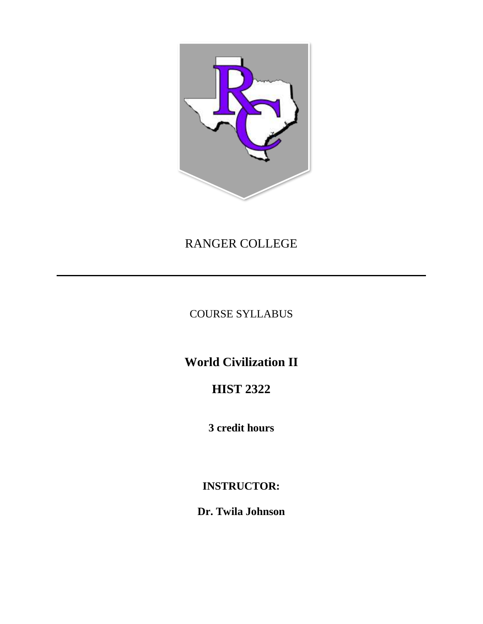

# RANGER COLLEGE

COURSE SYLLABUS

**World Civilization II**

# **HIST 2322**

**3 credit hours**

# **INSTRUCTOR:**

**Dr. Twila Johnson**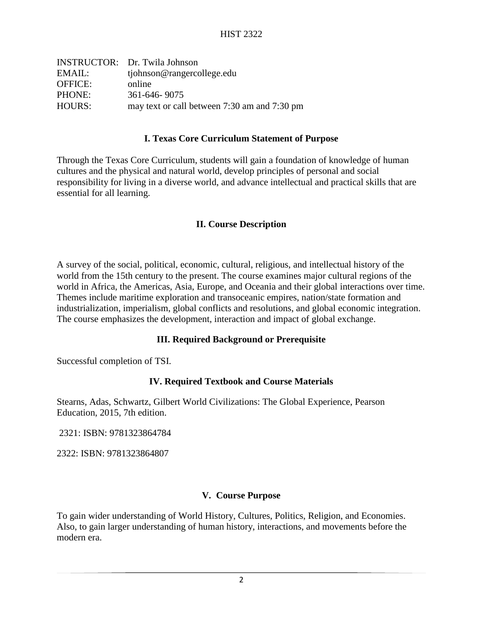| <b>INSTRUCTOR:</b> Dr. Twila Johnson         |
|----------------------------------------------|
| tjohnson@rangercollege.edu                   |
| online                                       |
| 361-646-9075                                 |
| may text or call between 7:30 am and 7:30 pm |
|                                              |

#### **I. Texas Core Curriculum Statement of Purpose**

Through the Texas Core Curriculum, students will gain a foundation of knowledge of human cultures and the physical and natural world, develop principles of personal and social responsibility for living in a diverse world, and advance intellectual and practical skills that are essential for all learning.

#### **II. Course Description**

A survey of the social, political, economic, cultural, religious, and intellectual history of the world from the 15th century to the present. The course examines major cultural regions of the world in Africa, the Americas, Asia, Europe, and Oceania and their global interactions over time. Themes include maritime exploration and transoceanic empires, nation/state formation and industrialization, imperialism, global conflicts and resolutions, and global economic integration. The course emphasizes the development, interaction and impact of global exchange.

## **III. Required Background or Prerequisite**

Successful completion of TSI.

## **IV. Required Textbook and Course Materials**

Stearns, Adas, Schwartz, Gilbert World Civilizations: The Global Experience, Pearson Education, 2015, 7th edition.

2321: ISBN: 9781323864784

2322: ISBN: 9781323864807

#### **V. Course Purpose**

To gain wider understanding of World History, Cultures, Politics, Religion, and Economies. Also, to gain larger understanding of human history, interactions, and movements before the modern era.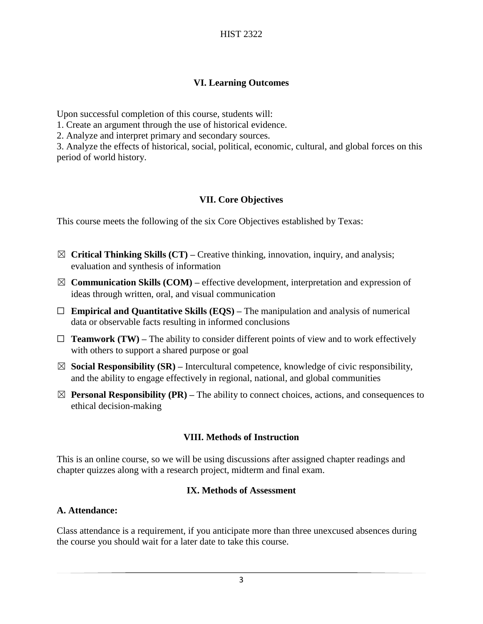## **VI. Learning Outcomes**

Upon successful completion of this course, students will:

1. Create an argument through the use of historical evidence.

2. Analyze and interpret primary and secondary sources.

3. Analyze the effects of historical, social, political, economic, cultural, and global forces on this period of world history.

# **VII. Core Objectives**

This course meets the following of the six Core Objectives established by Texas:

- ☒ **Critical Thinking Skills (CT) –** Creative thinking, innovation, inquiry, and analysis; evaluation and synthesis of information
- $\boxtimes$  **Communication Skills (COM)** effective development, interpretation and expression of ideas through written, oral, and visual communication
- $\Box$  **Empirical and Quantitative Skills (EQS)** The manipulation and analysis of numerical data or observable facts resulting in informed conclusions
- $\Box$  **Teamwork (TW)** The ability to consider different points of view and to work effectively with others to support a shared purpose or goal
- ☒ **Social Responsibility (SR) –** Intercultural competence, knowledge of civic responsibility, and the ability to engage effectively in regional, national, and global communities
- $\boxtimes$  **Personal Responsibility (PR)** The ability to connect choices, actions, and consequences to ethical decision-making

# **VIII. Methods of Instruction**

This is an online course, so we will be using discussions after assigned chapter readings and chapter quizzes along with a research project, midterm and final exam.

## **IX. Methods of Assessment**

## **A. Attendance:**

Class attendance is a requirement, if you anticipate more than three unexcused absences during the course you should wait for a later date to take this course.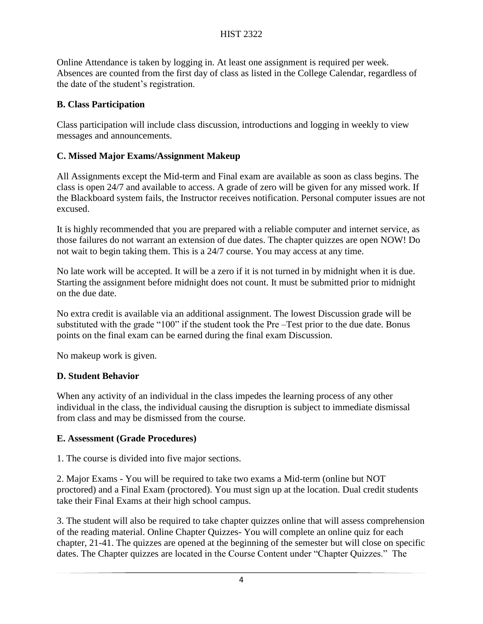Online Attendance is taken by logging in. At least one assignment is required per week. Absences are counted from the first day of class as listed in the College Calendar, regardless of the date of the student's registration.

## **B. Class Participation**

Class participation will include class discussion, introductions and logging in weekly to view messages and announcements.

## **C. Missed Major Exams/Assignment Makeup**

All Assignments except the Mid-term and Final exam are available as soon as class begins. The class is open 24/7 and available to access. A grade of zero will be given for any missed work. If the Blackboard system fails, the Instructor receives notification. Personal computer issues are not excused.

It is highly recommended that you are prepared with a reliable computer and internet service, as those failures do not warrant an extension of due dates. The chapter quizzes are open NOW! Do not wait to begin taking them. This is a 24/7 course. You may access at any time.

No late work will be accepted. It will be a zero if it is not turned in by midnight when it is due. Starting the assignment before midnight does not count. It must be submitted prior to midnight on the due date.

No extra credit is available via an additional assignment. The lowest Discussion grade will be substituted with the grade "100" if the student took the Pre –Test prior to the due date. Bonus points on the final exam can be earned during the final exam Discussion.

No makeup work is given.

## **D. Student Behavior**

When any activity of an individual in the class impedes the learning process of any other individual in the class, the individual causing the disruption is subject to immediate dismissal from class and may be dismissed from the course.

## **E. Assessment (Grade Procedures)**

1. The course is divided into five major sections.

2. Major Exams - You will be required to take two exams a Mid-term (online but NOT proctored) and a Final Exam (proctored). You must sign up at the location. Dual credit students take their Final Exams at their high school campus.

3. The student will also be required to take chapter quizzes online that will assess comprehension of the reading material. Online Chapter Quizzes- You will complete an online quiz for each chapter, 21-41. The quizzes are opened at the beginning of the semester but will close on specific dates. The Chapter quizzes are located in the Course Content under "Chapter Quizzes." The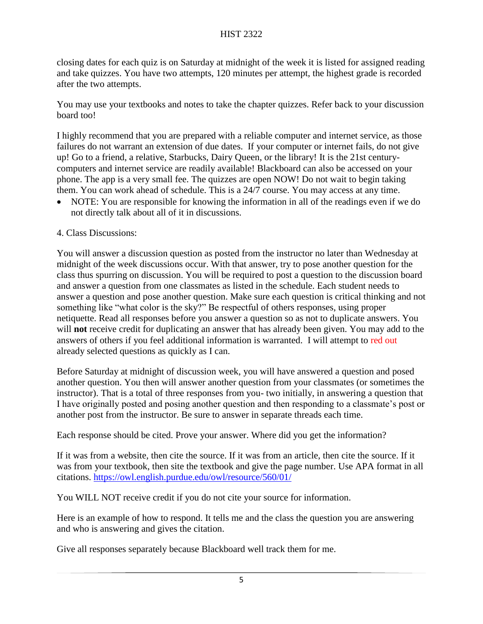## HIST 2322

closing dates for each quiz is on Saturday at midnight of the week it is listed for assigned reading and take quizzes. You have two attempts, 120 minutes per attempt, the highest grade is recorded after the two attempts.

You may use your textbooks and notes to take the chapter quizzes. Refer back to your discussion board too!

I highly recommend that you are prepared with a reliable computer and internet service, as those failures do not warrant an extension of due dates. If your computer or internet fails, do not give up! Go to a friend, a relative, Starbucks, Dairy Queen, or the library! It is the 21st centurycomputers and internet service are readily available! Blackboard can also be accessed on your phone. The app is a very small fee. The quizzes are open NOW! Do not wait to begin taking them. You can work ahead of schedule. This is a 24/7 course. You may access at any time.

- NOTE: You are responsible for knowing the information in all of the readings even if we do not directly talk about all of it in discussions.
- 4. Class Discussions:

You will answer a discussion question as posted from the instructor no later than Wednesday at midnight of the week discussions occur. With that answer, try to pose another question for the class thus spurring on discussion. You will be required to post a question to the discussion board and answer a question from one classmates as listed in the schedule. Each student needs to answer a question and pose another question. Make sure each question is critical thinking and not something like "what color is the sky?" Be respectful of others responses, using proper netiquette. Read all responses before you answer a question so as not to duplicate answers. You will **not** receive credit for duplicating an answer that has already been given. You may add to the answers of others if you feel additional information is warranted. I will attempt to red out already selected questions as quickly as I can.

Before Saturday at midnight of discussion week, you will have answered a question and posed another question. You then will answer another question from your classmates (or sometimes the instructor). That is a total of three responses from you- two initially, in answering a question that I have originally posted and posing another question and then responding to a classmate's post or another post from the instructor. Be sure to answer in separate threads each time.

Each response should be cited. Prove your answer. Where did you get the information?

If it was from a website, then cite the source. If it was from an article, then cite the source. If it was from your textbook, then site the textbook and give the page number. Use APA format in all citations.<https://owl.english.purdue.edu/owl/resource/560/01/>

You WILL NOT receive credit if you do not cite your source for information.

Here is an example of how to respond. It tells me and the class the question you are answering and who is answering and gives the citation.

Give all responses separately because Blackboard well track them for me.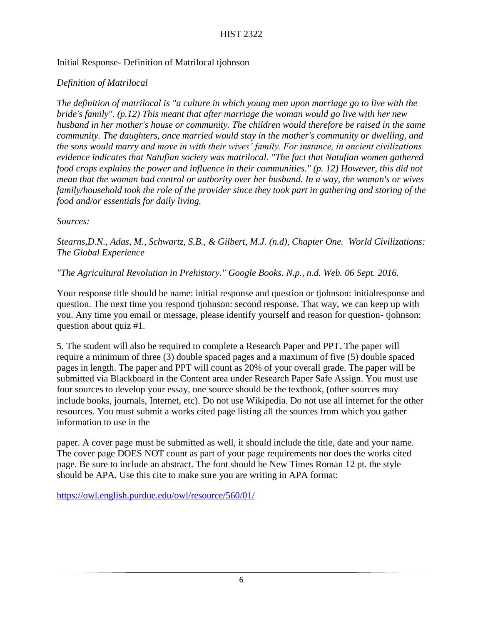## Initial Response- Definition of Matrilocal tjohnson

# *Definition of Matrilocal*

*The definition of matrilocal is "a culture in which young men upon marriage go to live with the bride's family". (p.12) This meant that after marriage the woman would go live with her new husband in her mother's house or community. The children would therefore be raised in the same community. The daughters, once married would stay in the mother's community or dwelling, and the sons would marry and move in with their wives' family. For instance, in ancient civilizations evidence indicates that Natufian society was matrilocal. "The fact that Natufian women gathered food crops explains the power and influence in their communities." (p. 12) However, this did not mean that the woman had control or authority over her husband. In a way, the woman's or wives family/household took the role of the provider since they took part in gathering and storing of the food and/or essentials for daily living.*

## *Sources:*

*Stearns,D.N., Adas, M., Schwartz, S.B., & Gilbert, M.J. (n.d), Chapter One. World Civilizations: The Global Experience*

## *"The Agricultural Revolution in Prehistory." Google Books. N.p., n.d. Web. 06 Sept. 2016.*

Your response title should be name: initial response and question or tjohnson: initialresponse and question. The next time you respond tjohnson: second response. That way, we can keep up with you. Any time you email or message, please identify yourself and reason for question- tjohnson: question about quiz #1.

5. The student will also be required to complete a Research Paper and PPT. The paper will require a minimum of three (3) double spaced pages and a maximum of five (5) double spaced pages in length. The paper and PPT will count as 20% of your overall grade. The paper will be submitted via Blackboard in the Content area under Research Paper Safe Assign. You must use four sources to develop your essay, one source should be the textbook, (other sources may include books, journals, Internet, etc). Do not use Wikipedia. Do not use all internet for the other resources. You must submit a works cited page listing all the sources from which you gather information to use in the

paper. A cover page must be submitted as well, it should include the title, date and your name. The cover page DOES NOT count as part of your page requirements nor does the works cited page. Be sure to include an abstract. The font should be New Times Roman 12 pt. the style should be APA. Use this cite to make sure you are writing in APA format:

<https://owl.english.purdue.edu/owl/resource/560/01/>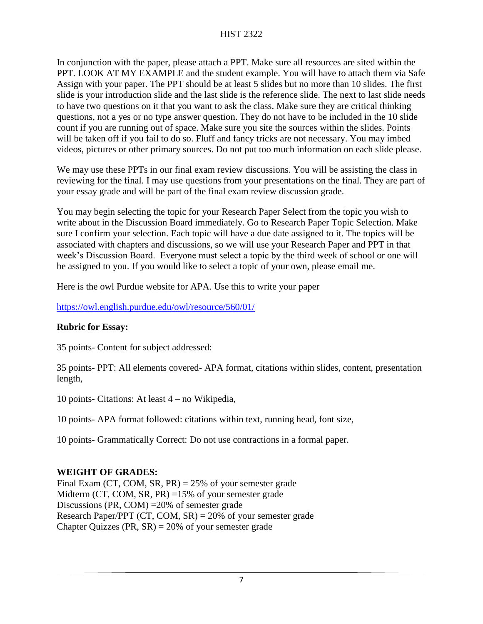In conjunction with the paper, please attach a PPT. Make sure all resources are sited within the PPT. LOOK AT MY EXAMPLE and the student example. You will have to attach them via Safe Assign with your paper. The PPT should be at least 5 slides but no more than 10 slides. The first slide is your introduction slide and the last slide is the reference slide. The next to last slide needs to have two questions on it that you want to ask the class. Make sure they are critical thinking questions, not a yes or no type answer question. They do not have to be included in the 10 slide count if you are running out of space. Make sure you site the sources within the slides. Points will be taken off if you fail to do so. Fluff and fancy tricks are not necessary. You may imbed videos, pictures or other primary sources. Do not put too much information on each slide please.

We may use these PPTs in our final exam review discussions. You will be assisting the class in reviewing for the final. I may use questions from your presentations on the final. They are part of your essay grade and will be part of the final exam review discussion grade.

You may begin selecting the topic for your Research Paper Select from the topic you wish to write about in the Discussion Board immediately. Go to Research Paper Topic Selection. Make sure I confirm your selection. Each topic will have a due date assigned to it. The topics will be associated with chapters and discussions, so we will use your Research Paper and PPT in that week's Discussion Board. Everyone must select a topic by the third week of school or one will be assigned to you. If you would like to select a topic of your own, please email me.

Here is the owl Purdue website for APA. Use this to write your paper

## <https://owl.english.purdue.edu/owl/resource/560/01/>

# **Rubric for Essay:**

35 points- Content for subject addressed:

35 points- PPT: All elements covered- APA format, citations within slides, content, presentation length,

10 points- Citations: At least 4 – no Wikipedia,

10 points- APA format followed: citations within text, running head, font size,

10 points- Grammatically Correct: Do not use contractions in a formal paper.

# **WEIGHT OF GRADES:**

Final Exam (CT, COM, SR, PR) = 25% of your semester grade Midterm (CT, COM, SR, PR) =15% of your semester grade Discussions (PR, COM) =20% of semester grade Research Paper/PPT (CT, COM, SR) = 20% of your semester grade Chapter Quizzes (PR,  $SR$ ) = 20% of your semester grade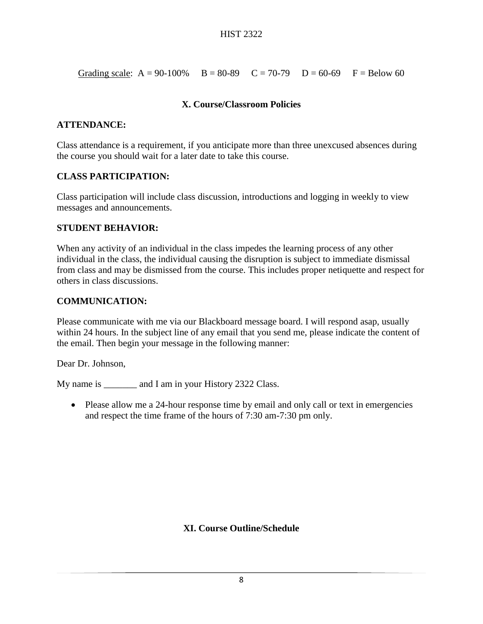Grading scale:  $A = 90-100\%$   $B = 80-89$   $C = 70-79$   $D = 60-69$   $F = Below 60$ 

## **X. Course/Classroom Policies**

## **ATTENDANCE:**

Class attendance is a requirement, if you anticipate more than three unexcused absences during the course you should wait for a later date to take this course.

## **CLASS PARTICIPATION:**

Class participation will include class discussion, introductions and logging in weekly to view messages and announcements.

## **STUDENT BEHAVIOR:**

When any activity of an individual in the class impedes the learning process of any other individual in the class, the individual causing the disruption is subject to immediate dismissal from class and may be dismissed from the course. This includes proper netiquette and respect for others in class discussions.

## **COMMUNICATION:**

Please communicate with me via our Blackboard message board. I will respond asap, usually within 24 hours. In the subject line of any email that you send me, please indicate the content of the email. Then begin your message in the following manner:

Dear Dr. Johnson,

My name is \_\_\_\_\_\_\_\_ and I am in your History 2322 Class.

• Please allow me a 24-hour response time by email and only call or text in emergencies and respect the time frame of the hours of 7:30 am-7:30 pm only.

# **XI. Course Outline/Schedule**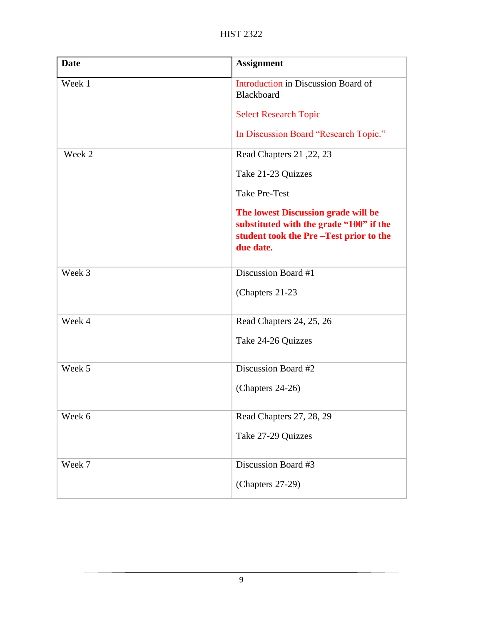| <b>Date</b> | <b>Assignment</b>                                                                                                                     |
|-------------|---------------------------------------------------------------------------------------------------------------------------------------|
| Week 1      | Introduction in Discussion Board of<br>Blackboard                                                                                     |
|             | <b>Select Research Topic</b>                                                                                                          |
|             | In Discussion Board "Research Topic."                                                                                                 |
| Week 2      | Read Chapters 21, 22, 23                                                                                                              |
|             | Take 21-23 Quizzes                                                                                                                    |
|             | <b>Take Pre-Test</b>                                                                                                                  |
|             | The lowest Discussion grade will be<br>substituted with the grade "100" if the<br>student took the Pre-Test prior to the<br>due date. |
| Week 3      | Discussion Board #1                                                                                                                   |
|             | (Chapters 21-23)                                                                                                                      |
| Week 4      | Read Chapters 24, 25, 26                                                                                                              |
|             | Take 24-26 Quizzes                                                                                                                    |
| Week 5      | Discussion Board #2                                                                                                                   |
|             | (Chapters 24-26)                                                                                                                      |
| Week 6      | Read Chapters 27, 28, 29                                                                                                              |
|             | Take 27-29 Quizzes                                                                                                                    |
| Week 7      | Discussion Board #3                                                                                                                   |
|             | (Chapters 27-29)                                                                                                                      |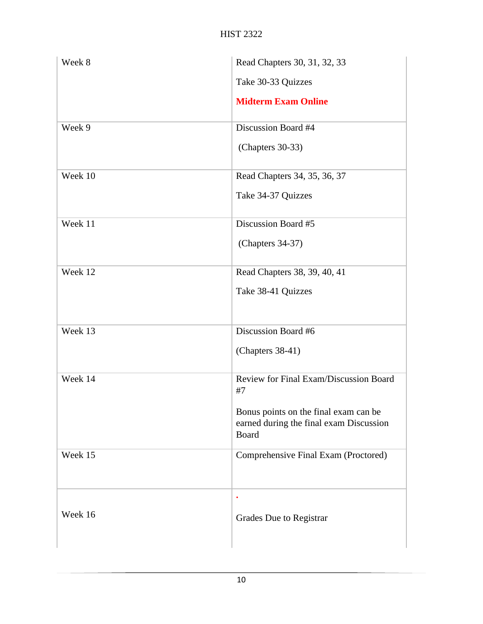| Week 8  | Read Chapters 30, 31, 32, 33                                                              |
|---------|-------------------------------------------------------------------------------------------|
|         | Take 30-33 Quizzes                                                                        |
|         | <b>Midterm Exam Online</b>                                                                |
| Week 9  | Discussion Board #4                                                                       |
|         | (Chapters 30-33)                                                                          |
| Week 10 | Read Chapters 34, 35, 36, 37                                                              |
|         | Take 34-37 Quizzes                                                                        |
| Week 11 | Discussion Board #5                                                                       |
|         | (Chapters 34-37)                                                                          |
| Week 12 | Read Chapters 38, 39, 40, 41                                                              |
|         | Take 38-41 Quizzes                                                                        |
| Week 13 | Discussion Board #6                                                                       |
|         | (Chapters 38-41)                                                                          |
| Week 14 | Review for Final Exam/Discussion Board<br>#7                                              |
|         | Bonus points on the final exam can be<br>earned during the final exam Discussion<br>Board |
| Week 15 | Comprehensive Final Exam (Proctored)                                                      |
|         | $\bullet$                                                                                 |
| Week 16 | Grades Due to Registrar                                                                   |